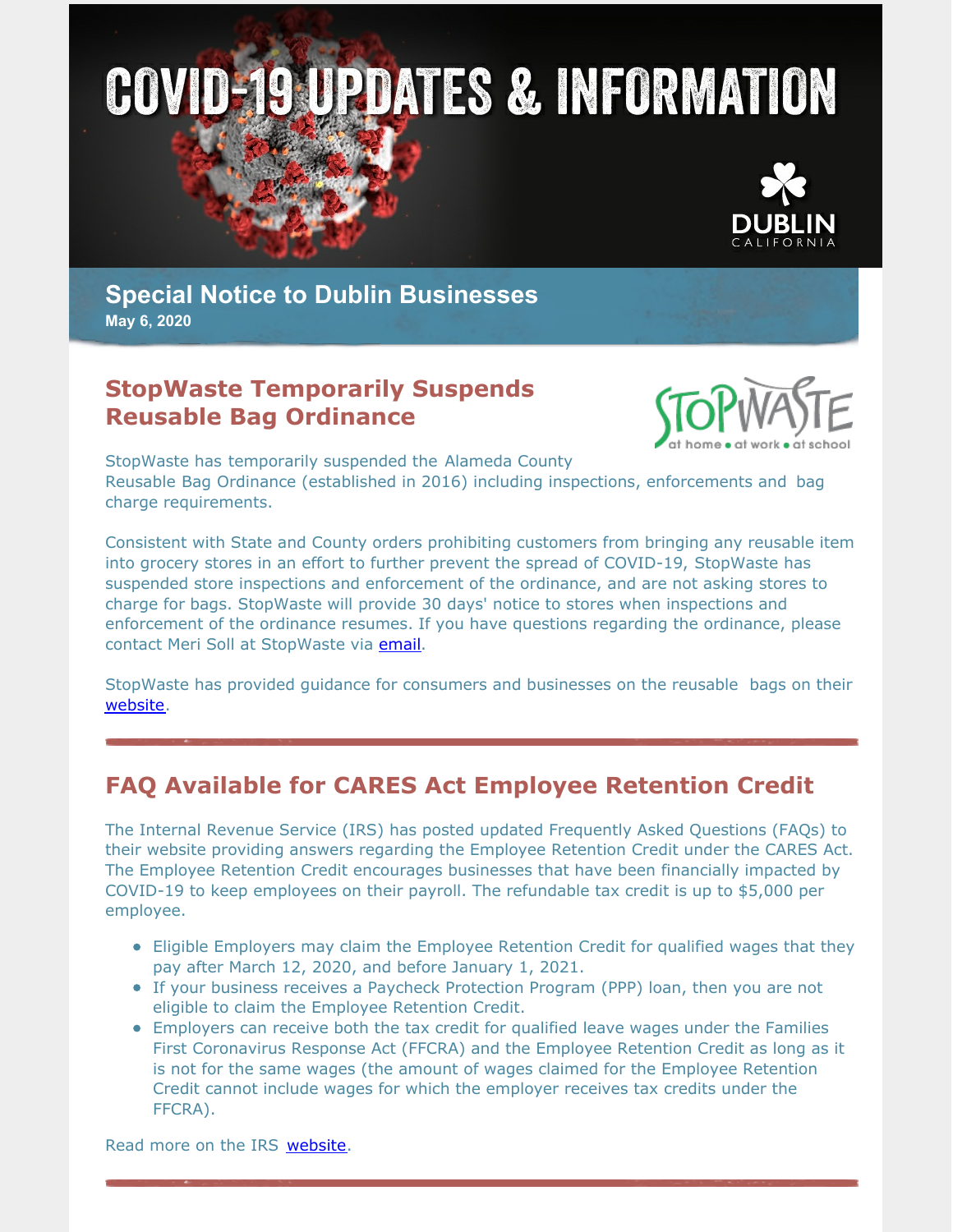



**Special Notice to Dublin Businesses May 6, 2020**

#### **StopWaste Temporarily Suspends Reusable Bag Ordinance**



StopWaste has temporarily suspended the Alameda County Reusable Bag Ordinance (established in 2016) including inspections, enforcements and bag charge requirements.

Consistent with State and County orders prohibiting customers from bringing any reusable item into grocery stores in an effort to further prevent the spread of COVID-19, StopWaste has suspended store inspections and enforcement of the ordinance, and are not asking stores to charge for bags. StopWaste will provide 30 days' notice to stores when inspections and enforcement of the ordinance resumes. If you have questions regarding the ordinance, please contact Meri Soll at StopWaste via [email](mailto:msoll@stopwaste.org).

StopWaste has provided guidance for consumers and businesses on the reusable bags on their [website](http://www.stopwaste.org/about-stopwaste/news/revised-guidance-for-reusables-under-shelter-in-place-order).

#### **FAQ Available for CARES Act Employee Retention Credit**

The Internal Revenue Service (IRS) has posted updated Frequently Asked Questions (FAQs) to their website providing answers regarding the Employee Retention Credit under the CARES Act. The Employee Retention Credit encourages businesses that have been financially impacted by COVID-19 to keep employees on their payroll. The refundable tax credit is up to \$5,000 per employee.

- Eligible Employers may claim the Employee Retention Credit for qualified wages that they pay after March 12, 2020, and before January 1, 2021.
- If your business receives a Paycheck Protection Program (PPP) loan, then you are not eligible to claim the Employee Retention Credit.
- Employers can receive both the tax credit for qualified leave wages under the Families First Coronavirus Response Act (FFCRA) and the Employee Retention Credit as long as it is not for the same wages (the amount of wages claimed for the Employee Retention Credit cannot include wages for which the employer receives tax credits under the FFCRA).

Read more on the IRS [website.](https://www.irs.gov/newsroom/faqs-employee-retention-credit-under-the-cares-act)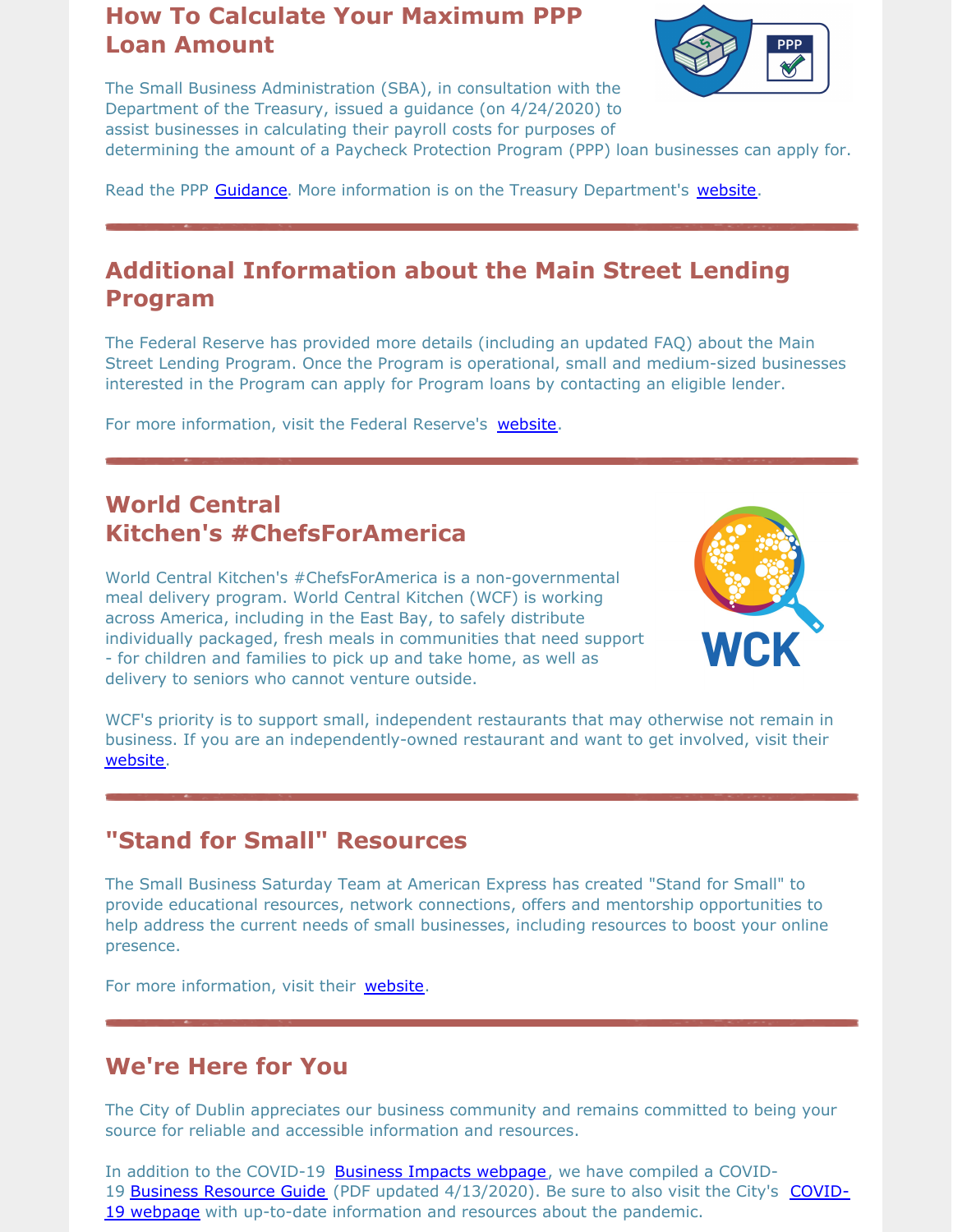#### **How To Calculate Your Maximum PPP Loan Amount**



The Small Business Administration (SBA), in consultation with the Department of the Treasury, issued a guidance (on 4/24/2020) to assist businesses in calculating their payroll costs for purposes of

determining the amount of a Paycheck Protection Program (PPP) loan businesses can apply for.

Read the PPP [Guidance](https://home.treasury.gov/system/files/136/How-to-Calculate-Loan-Amounts.pdf). More information is on the Treasury Department's [website](https://home.treasury.gov/policy-issues/cares/assistance-for-small-businesses).

### **Additional Information about the Main Street Lending Program**

The Federal Reserve has provided more details (including an updated FAQ) about the Main Street Lending Program. Once the Program is operational, small and medium-sized businesses interested in the Program can apply for Program loans by contacting an eligible lender.

For more information, visit the Federal Reserve's [website](https://www.federalreserve.gov/monetarypolicy/mainstreetlending.htm).

#### **World Central Kitchen's #ChefsForAmerica**

World Central Kitchen's #ChefsForAmerica is a non-governmental meal delivery program. World Central Kitchen (WCF) is working across America, including in the East Bay, to safely distribute individually packaged, fresh meals in communities that need support - for children and families to pick up and take home, as well as delivery to seniors who cannot venture outside.



WCF's priority is to support small, independent restaurants that may otherwise not remain in business. If you are an independently-owned restaurant and want to get involved, visit their [website](https://wck.org/chefsforamerica).

# **"Stand for Small" Resources**

The Small Business Saturday Team at American Express has created "Stand for Small" to provide educational resources, network connections, offers and mentorship opportunities to help address the current needs of small businesses, including resources to boost your online presence.

For more information, visit their [website.](https://www.standforsmall.com/?extlink=us-GABM-Stand_For_Small_SBO_Email/)

#### **We're Here for You**

The City of Dublin appreciates our business community and remains committed to being your source for reliable and accessible information and resources.

In addition to the COVID-19 Business Impacts [webpage](https://www.dublin.ca.gov/2177/COVID-19-Business-Impacts), we have compiled a COVID-19 Business [Resource](https://www.dublin.ca.gov/DocumentCenter/View/22168) Guide (PDF updated [4/13/2020\).](https://www.dublin.ca.gov/coronavirus) Be sure to also visit the City's COVID-19 webpage with up-to-date information and resources about the pandemic.